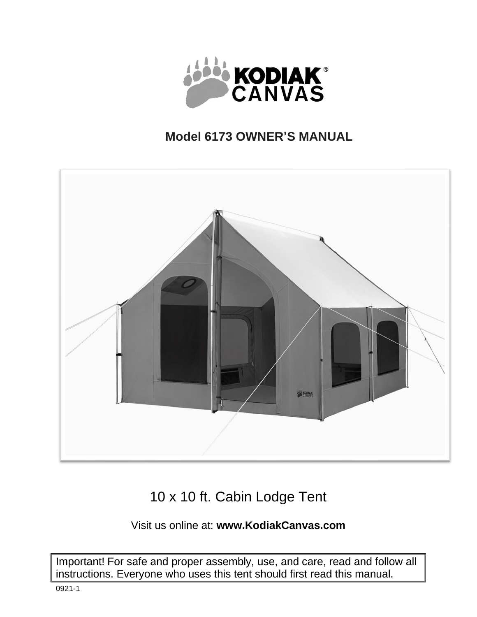

## **Model 6173 OWNER'S MANUAL**



# 10 x 10 ft. Cabin Lodge Tent

## Visit us online at: **[www.KodiakCanvas.com](http://www.kodiakcanvas.com/)**

Important! For safe and proper assembly, use, and care, read and follow all instructions. Everyone who uses this tent should first read this manual.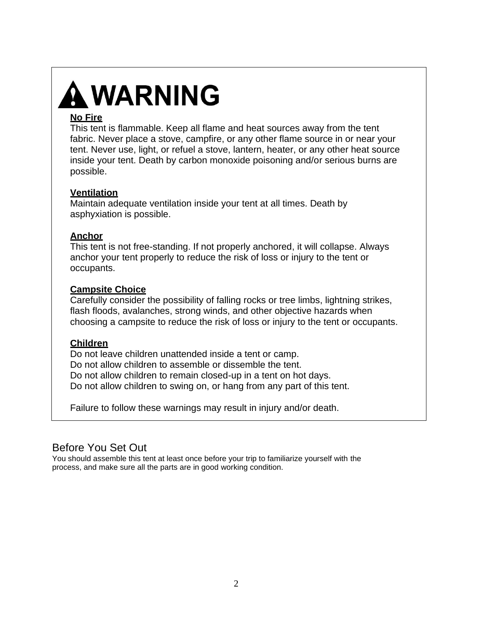# **A WARNING**

## **No Fire**

This tent is flammable. Keep all flame and heat sources away from the tent fabric. Never place a stove, campfire, or any other flame source in or near your tent. Never use, light, or refuel a stove, lantern, heater, or any other heat source inside your tent. Death by carbon monoxide poisoning and/or serious burns are possible.

## **Ventilation**

Maintain adequate ventilation inside your tent at all times. Death by asphyxiation is possible.

## **Anchor**

This tent is not free-standing. If not properly anchored, it will collapse. Always anchor your tent properly to reduce the risk of loss or injury to the tent or occupants.

## **Campsite Choice**

Carefully consider the possibility of falling rocks or tree limbs, lightning strikes, flash floods, avalanches, strong winds, and other objective hazards when choosing a campsite to reduce the risk of loss or injury to the tent or occupants.

## **Children**

Do not leave children unattended inside a tent or camp. Do not allow children to assemble or dissemble the tent. Do not allow children to remain closed-up in a tent on hot days. Do not allow children to swing on, or hang from any part of this tent.

Failure to follow these warnings may result in injury and/or death.

## Before You Set Out

You should assemble this tent at least once before your trip to familiarize yourself with the process, and make sure all the parts are in good working condition.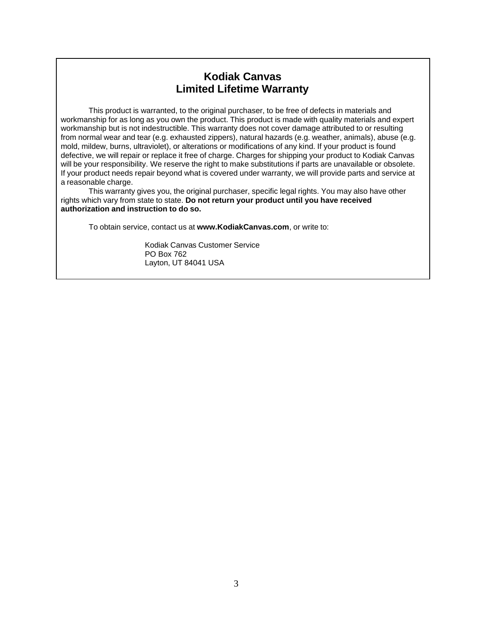## **Kodiak Canvas Limited Lifetime Warranty**

This product is warranted, to the original purchaser, to be free of defects in materials and workmanship for as long as you own the product. This product is made with quality materials and expert workmanship but is not indestructible. This warranty does not cover damage attributed to or resulting from normal wear and tear (e.g. exhausted zippers), natural hazards (e.g. weather, animals), abuse (e.g. mold, mildew, burns, ultraviolet), or alterations or modifications of any kind. If your product is found defective, we will repair or replace it free of charge. Charges for shipping your product to Kodiak Canvas will be your responsibility. We reserve the right to make substitutions if parts are unavailable or obsolete. If your product needs repair beyond what is covered under warranty, we will provide parts and service at a reasonable charge.

This warranty gives you, the original purchaser, specific legal rights. You may also have other rights which vary from state to state. **Do not return your product until you have received authorization and instruction to do so.**

To obtain service, contact us at **[www.KodiakCanvas.com](http://www.kodiakcanvas.com/)**, or write to:

Kodiak Canvas Customer Service PO Box 762 Layton, UT 84041 USA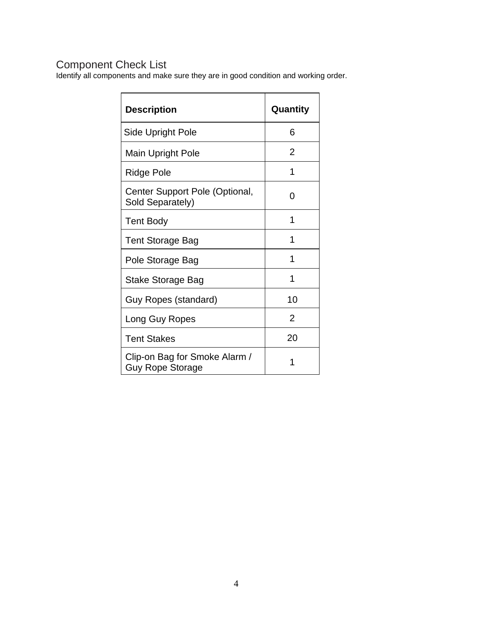## Component Check List

Identify all components and make sure they are in good condition and working order.

| <b>Description</b>                                       | Quantity       |
|----------------------------------------------------------|----------------|
| <b>Side Upright Pole</b>                                 | 6              |
| Main Upright Pole                                        | 2              |
| Ridge Pole                                               | 1              |
| Center Support Pole (Optional,<br>Sold Separately)       | ი              |
| <b>Tent Body</b>                                         | 1              |
| <b>Tent Storage Bag</b>                                  | 1              |
| Pole Storage Bag                                         |                |
| <b>Stake Storage Bag</b>                                 | 1              |
| Guy Ropes (standard)                                     | 10             |
| Long Guy Ropes                                           | $\overline{2}$ |
| <b>Tent Stakes</b>                                       | 20             |
| Clip-on Bag for Smoke Alarm /<br><b>Guy Rope Storage</b> |                |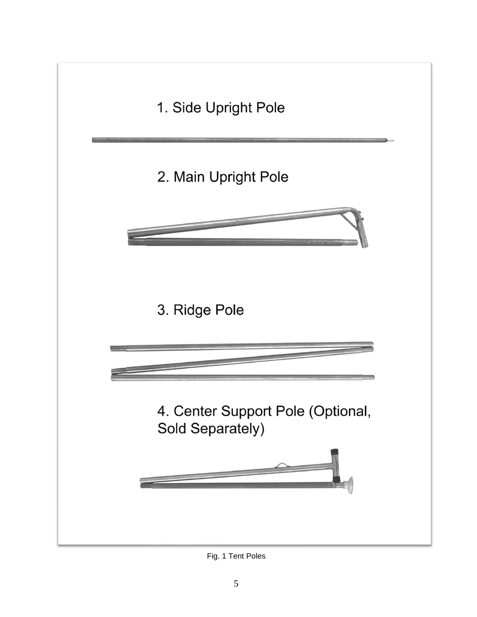

Fig. 1 Tent Poles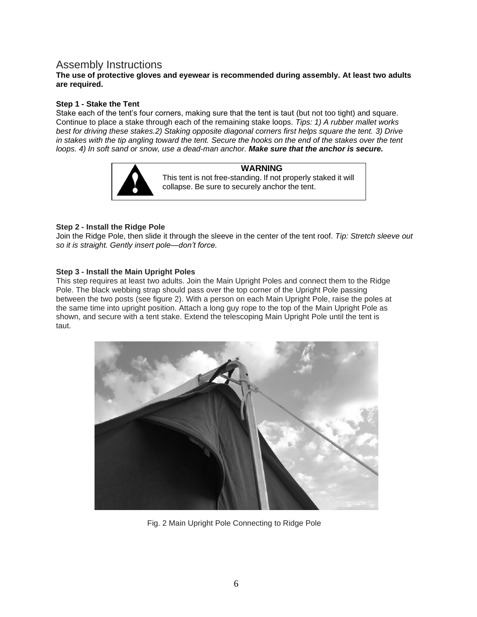## Assembly Instructions

#### **The use of protective gloves and eyewear is recommended during assembly. At least two adults are required.**

#### **Step 1 - Stake the Tent**

Stake each of the tent's four corners, making sure that the tent is taut (but not too tight) and square. Continue to place a stake through each of the remaining stake loops. *Tips: 1) A rubber mallet works best for driving these stakes.2) Staking opposite diagonal corners first helps square the tent. 3) Drive in stakes with the tip angling toward the tent. Secure the hooks on the end of the stakes over the tent loops. 4) In soft sand or snow, use a dead-man anchor. Make sure that the anchor is secure.*



**WARNING** This tent is not free-standing. If not properly staked it will collapse. Be sure to securely anchor the tent.

#### **Step 2 - Install the Ridge Pole**

Join the Ridge Pole, then slide it through the sleeve in the center of the tent roof. *Tip: Stretch sleeve out so it is straight. Gently insert pole—don't force.*

#### **Step 3 - Install the Main Upright Poles**

This step requires at least two adults. Join the Main Upright Poles and connect them to the Ridge Pole. The black webbing strap should pass over the top corner of the Upright Pole passing between the two posts (see figure 2). With a person on each Main Upright Pole, raise the poles at the same time into upright position. Attach a long guy rope to the top of the Main Upright Pole as shown, and secure with a tent stake. Extend the telescoping Main Upright Pole until the tent is taut.



Fig. 2 Main Upright Pole Connecting to Ridge Pole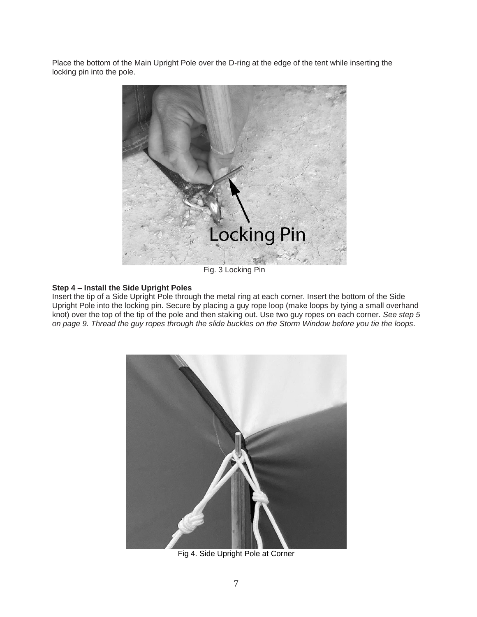Place the bottom of the Main Upright Pole over the D-ring at the edge of the tent while inserting the locking pin into the pole.



Fig. 3 Locking Pin

#### **Step 4 – Install the Side Upright Poles**

Insert the tip of a Side Upright Pole through the metal ring at each corner. Insert the bottom of the Side Upright Pole into the locking pin. Secure by placing a guy rope loop (make loops by tying a small overhand knot) over the top of the tip of the pole and then staking out. Use two guy ropes on each corner. *See step 5 on page 9. Thread the guy ropes through the slide buckles on the Storm Window before you tie the loops*.



Fig 4. Side Upright Pole at Corner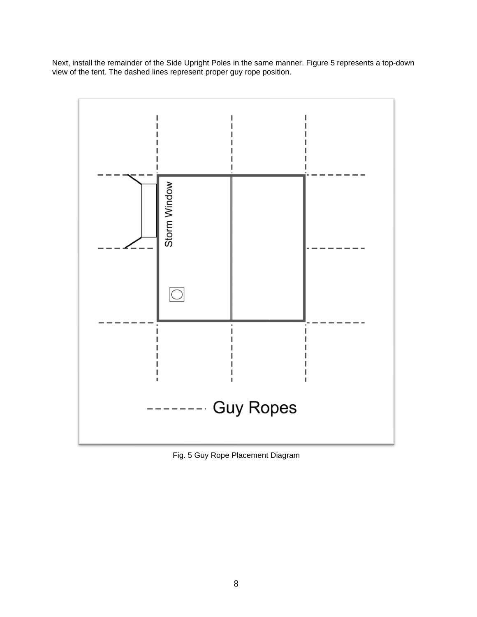Next, install the remainder of the Side Upright Poles in the same manner. Figure 5 represents a top-down view of the tent. The dashed lines represent proper guy rope position.



Fig. 5 Guy Rope Placement Diagram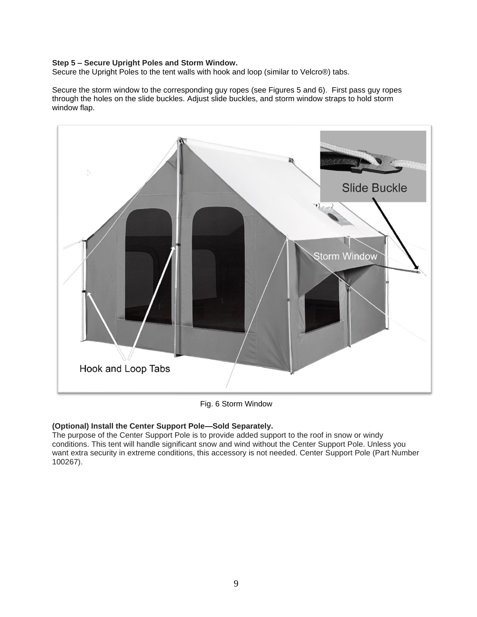#### **Step 5 – Secure Upright Poles and Storm Window.**

Secure the Upright Poles to the tent walls with hook and loop (similar to Velcro®) tabs.

Secure the storm window to the corresponding guy ropes (see Figures 5 and 6). First pass guy ropes through the holes on the slide buckles. Adjust slide buckles, and storm window straps to hold storm window flap.



Fig. 6 Storm Window

#### **(Optional) Install the Center Support Pole—Sold Separately.**

The purpose of the Center Support Pole is to provide added support to the roof in snow or windy conditions. This tent will handle significant snow and wind without the Center Support Pole. Unless you want extra security in extreme conditions, this accessory is not needed. Center Support Pole (Part Number 100267).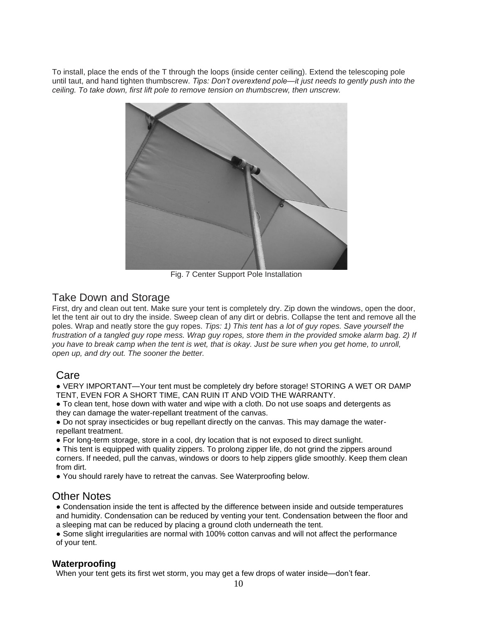To install, place the ends of the T through the loops (inside center ceiling). Extend the telescoping pole until taut, and hand tighten thumbscrew. *Tips: Don't overextend pole—it just needs to gently push into the ceiling. To take down, first lift pole to remove tension on thumbscrew, then unscrew.*



Fig. 7 Center Support Pole Installation

## Take Down and Storage

First, dry and clean out tent. Make sure your tent is completely dry. Zip down the windows, open the door, let the tent air out to dry the inside. Sweep clean of any dirt or debris. Collapse the tent and remove all the poles. Wrap and neatly store the guy ropes. *Tips: 1) This tent has a lot of guy ropes. Save yourself the frustration of a tangled guy rope mess. Wrap guy ropes, store them in the provided smoke alarm bag. 2) If you have to break camp when the tent is wet, that is okay. Just be sure when you get home, to unroll, open up, and dry out. The sooner the better.*

## Care

● VERY IMPORTANT—Your tent must be completely dry before storage! STORING A WET OR DAMP TENT, EVEN FOR A SHORT TIME, CAN RUIN IT AND VOID THE WARRANTY.

● To clean tent, hose down with water and wipe with a cloth. Do not use soaps and detergents as they can damage the water-repellant treatment of the canvas.

• Do not spray insecticides or bug repellant directly on the canvas. This may damage the waterrepellant treatment.

● For long-term storage, store in a cool, dry location that is not exposed to direct sunlight.

• This tent is equipped with quality zippers. To prolong zipper life, do not grind the zippers around corners. If needed, pull the canvas, windows or doors to help zippers glide smoothly. Keep them clean from dirt.

● You should rarely have to retreat the canvas. See Waterproofing below.

## Other Notes

● Condensation inside the tent is affected by the difference between inside and outside temperatures and humidity. Condensation can be reduced by venting your tent. Condensation between the floor and a sleeping mat can be reduced by placing a ground cloth underneath the tent.

● Some slight irregularities are normal with 100% cotton canvas and will not affect the performance of your tent.

### **Waterproofing**

When your tent gets its first wet storm, you may get a few drops of water inside—don't fear.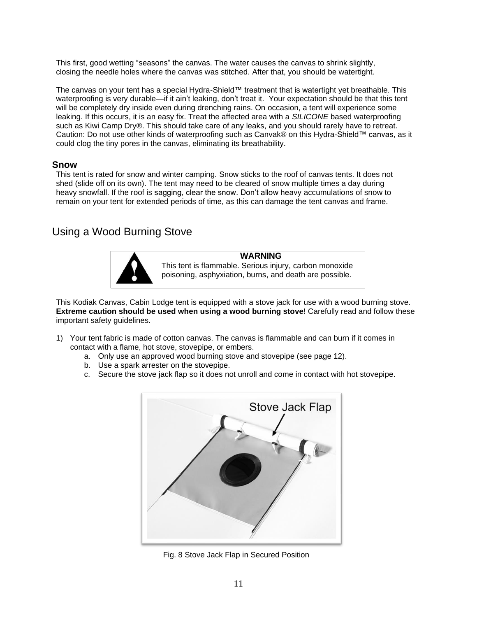This first, good wetting "seasons" the canvas. The water causes the canvas to shrink slightly, closing the needle holes where the canvas was stitched. After that, you should be watertight.

The canvas on your tent has a special Hydra-Shield™ treatment that is watertight yet breathable. This waterproofing is very durable—if it ain't leaking, don't treat it. Your expectation should be that this tent will be completely dry inside even during drenching rains. On occasion, a tent will experience some leaking. If this occurs, it is an easy fix. Treat the affected area with a *SILICONE* based waterproofing such as Kiwi Camp Dry®. This should take care of any leaks, and you should rarely have to retreat. Caution: Do not use other kinds of waterproofing such as Canvak® on this Hydra-Shield™ canvas, as it could clog the tiny pores in the canvas, eliminating its breathability.

#### **Snow**

This tent is rated for snow and winter camping. Snow sticks to the roof of canvas tents. It does not shed (slide off on its own). The tent may need to be cleared of snow multiple times a day during heavy snowfall. If the roof is sagging, clear the snow. Don't allow heavy accumulations of snow to remain on your tent for extended periods of time, as this can damage the tent canvas and frame.

## Using a Wood Burning Stove



**WARNING** This tent is flammable. Serious injury, carbon monoxide poisoning, asphyxiation, burns, and death are possible.

This Kodiak Canvas, Cabin Lodge tent is equipped with a stove jack for use with a wood burning stove. **Extreme caution should be used when using a wood burning stove**! Carefully read and follow these important safety guidelines.

- 1) Your tent fabric is made of cotton canvas. The canvas is flammable and can burn if it comes in contact with a flame, hot stove, stovepipe, or embers.
	- a. Only use an approved wood burning stove and stovepipe (see page 12).
	- b. Use a spark arrester on the stovepipe.
	- c. Secure the stove jack flap so it does not unroll and come in contact with hot stovepipe.



Fig. 8 Stove Jack Flap in Secured Position